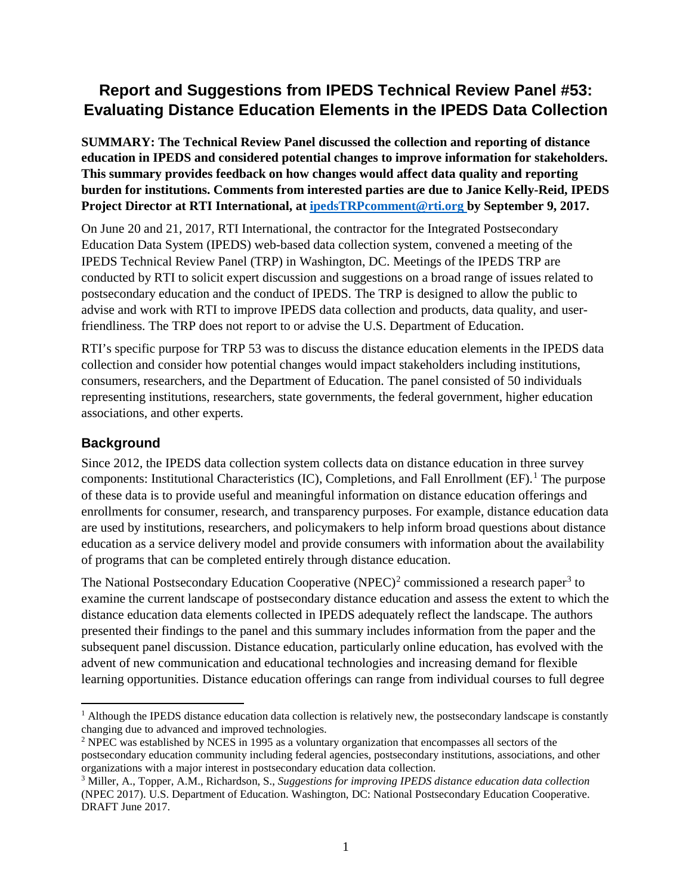# **Report and Suggestions from IPEDS Technical Review Panel #53: Evaluating Distance Education Elements in the IPEDS Data Collection**

**SUMMARY: The Technical Review Panel discussed the collection and reporting of distance education in IPEDS and considered potential changes to improve information for stakeholders. This summary provides feedback on how changes would affect data quality and reporting burden for institutions. Comments from interested parties are due to Janice Kelly-Reid, IPEDS Project Director at RTI International, at [ipedsTRPcomment@rti.org](mailto:ipedsTRPcomment@rti.org) by September 9, 2017.** 

On June 20 and 21, 2017, RTI International, the contractor for the Integrated Postsecondary Education Data System (IPEDS) web-based data collection system, convened a meeting of the IPEDS Technical Review Panel (TRP) in Washington, DC. Meetings of the IPEDS TRP are conducted by RTI to solicit expert discussion and suggestions on a broad range of issues related to postsecondary education and the conduct of IPEDS. The TRP is designed to allow the public to advise and work with RTI to improve IPEDS data collection and products, data quality, and userfriendliness. The TRP does not report to or advise the U.S. Department of Education.

RTI's specific purpose for TRP 53 was to discuss the distance education elements in the IPEDS data collection and consider how potential changes would impact stakeholders including institutions, consumers, researchers, and the Department of Education. The panel consisted of 50 individuals representing institutions, researchers, state governments, the federal government, higher education associations, and other experts.

#### **Background**

Since 2012, the IPEDS data collection system collects data on distance education in three survey components: Institutional Characteristics (IC), Completions, and Fall Enrollment (EF). [1](#page-0-0) The purpose of these data is to provide useful and meaningful information on distance education offerings and enrollments for consumer, research, and transparency purposes. For example, distance education data are used by institutions, researchers, and policymakers to help inform broad questions about distance education as a service delivery model and provide consumers with information about the availability of programs that can be completed entirely through distance education.

The National Postsecondary Education Cooperative (NPEC)<sup>[2](#page-0-1)</sup> commissioned a research paper<sup>[3](#page-0-2)</sup> to examine the current landscape of postsecondary distance education and assess the extent to which the distance education data elements collected in IPEDS adequately reflect the landscape. The authors presented their findings to the panel and this summary includes information from the paper and the subsequent panel discussion. Distance education, particularly online education, has evolved with the advent of new communication and educational technologies and increasing demand for flexible learning opportunities. Distance education offerings can range from individual courses to full degree

<span id="page-0-0"></span> $<sup>1</sup>$  Although the IPEDS distance education data collection is relatively new, the postsecondary landscape is constantly</sup> changing due to advanced and improved technologies.

<span id="page-0-1"></span><sup>2</sup> NPEC was established by NCES in 1995 as a voluntary organization that encompasses all sectors of the postsecondary education community including federal agencies, postsecondary institutions, associations, and other organizations with a major interest in postsecondary education data collection.

<span id="page-0-2"></span><sup>3</sup> Miller, A., Topper, A.M., Richardson, S., *Suggestions for improving IPEDS distance education data collection*  (NPEC 2017). U.S. Department of Education. Washington, DC: National Postsecondary Education Cooperative. DRAFT June 2017.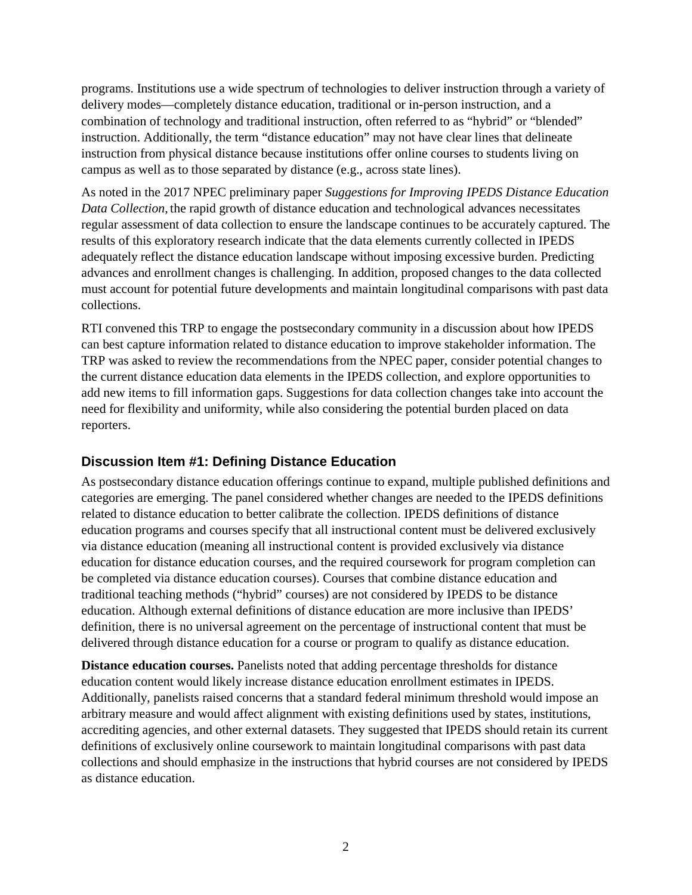programs. Institutions use a wide spectrum of technologies to deliver instruction through a variety of delivery modes—completely distance education, traditional or in-person instruction, and a combination of technology and traditional instruction, often referred to as "hybrid" or "blended" instruction. Additionally, the term "distance education" may not have clear lines that delineate instruction from physical distance because institutions offer online courses to students living on campus as well as to those separated by distance (e.g., across state lines).

As noted in the 2017 NPEC preliminary paper *Suggestions for Improving IPEDS Distance Education Data Collection,* the rapid growth of distance education and technological advances necessitates regular assessment of data collection to ensure the landscape continues to be accurately captured. The results of this exploratory research indicate that the data elements currently collected in IPEDS adequately reflect the distance education landscape without imposing excessive burden. Predicting advances and enrollment changes is challenging. In addition, proposed changes to the data collected must account for potential future developments and maintain longitudinal comparisons with past data collections.

RTI convened this TRP to engage the postsecondary community in a discussion about how IPEDS can best capture information related to distance education to improve stakeholder information. The TRP was asked to review the recommendations from the NPEC paper, consider potential changes to the current distance education data elements in the IPEDS collection, and explore opportunities to add new items to fill information gaps. Suggestions for data collection changes take into account the need for flexibility and uniformity, while also considering the potential burden placed on data reporters.

#### **Discussion Item #1: Defining Distance Education**

As postsecondary distance education offerings continue to expand, multiple published definitions and categories are emerging. The panel considered whether changes are needed to the IPEDS definitions related to distance education to better calibrate the collection. IPEDS definitions of distance education programs and courses specify that all instructional content must be delivered exclusively via distance education (meaning all instructional content is provided exclusively via distance education for distance education courses, and the required coursework for program completion can be completed via distance education courses). Courses that combine distance education and traditional teaching methods ("hybrid" courses) are not considered by IPEDS to be distance education. Although external definitions of distance education are more inclusive than IPEDS' definition, there is no universal agreement on the percentage of instructional content that must be delivered through distance education for a course or program to qualify as distance education.

**Distance education courses.** Panelists noted that adding percentage thresholds for distance education content would likely increase distance education enrollment estimates in IPEDS. Additionally, panelists raised concerns that a standard federal minimum threshold would impose an arbitrary measure and would affect alignment with existing definitions used by states, institutions, accrediting agencies, and other external datasets. They suggested that IPEDS should retain its current definitions of exclusively online coursework to maintain longitudinal comparisons with past data collections and should emphasize in the instructions that hybrid courses are not considered by IPEDS as distance education.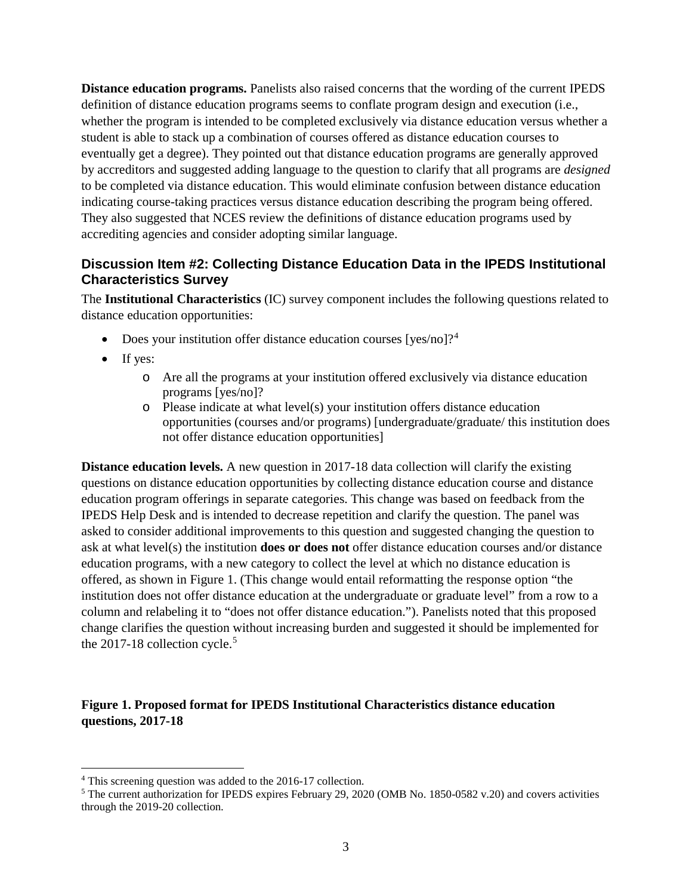**Distance education programs.** Panelists also raised concerns that the wording of the current IPEDS definition of distance education programs seems to conflate program design and execution (i.e., whether the program is intended to be completed exclusively via distance education versus whether a student is able to stack up a combination of courses offered as distance education courses to eventually get a degree). They pointed out that distance education programs are generally approved by accreditors and suggested adding language to the question to clarify that all programs are *designed* to be completed via distance education. This would eliminate confusion between distance education indicating course-taking practices versus distance education describing the program being offered. They also suggested that NCES review the definitions of distance education programs used by accrediting agencies and consider adopting similar language.

## **Discussion Item #2: Collecting Distance Education Data in the IPEDS Institutional Characteristics Survey**

The **Institutional Characteristics** (IC) survey component includes the following questions related to distance education opportunities:

- Does your institution offer distance education courses [yes/no]?<sup>[4](#page-2-0)</sup>
- If yes:
	- o Are all the programs at your institution offered exclusively via distance education programs [yes/no]?
	- o Please indicate at what level(s) your institution offers distance education opportunities (courses and/or programs) [undergraduate/graduate/ this institution does not offer distance education opportunities]

**Distance education levels.** A new question in 2017-18 data collection will clarify the existing questions on distance education opportunities by collecting distance education course and distance education program offerings in separate categories. This change was based on feedback from the IPEDS Help Desk and is intended to decrease repetition and clarify the question. The panel was asked to consider additional improvements to this question and suggested changing the question to ask at what level(s) the institution **does or does not** offer distance education courses and/or distance education programs, with a new category to collect the level at which no distance education is offered, as shown in Figure 1. (This change would entail reformatting the response option "the institution does not offer distance education at the undergraduate or graduate level" from a row to a column and relabeling it to "does not offer distance education."). Panelists noted that this proposed change clarifies the question without increasing burden and suggested it should be implemented for the 2017-18 collection cycle. $5$ 

#### **Figure 1. Proposed format for IPEDS Institutional Characteristics distance education questions, 2017-18**

<span id="page-2-1"></span><span id="page-2-0"></span><sup>&</sup>lt;sup>4</sup> This screening question was added to the 2016-17 collection.<br><sup>5</sup> The current authorization for IPEDS expires February 29, 2020 (OMB No. 1850-0582 v.20) and covers activities through the 2019-20 collection.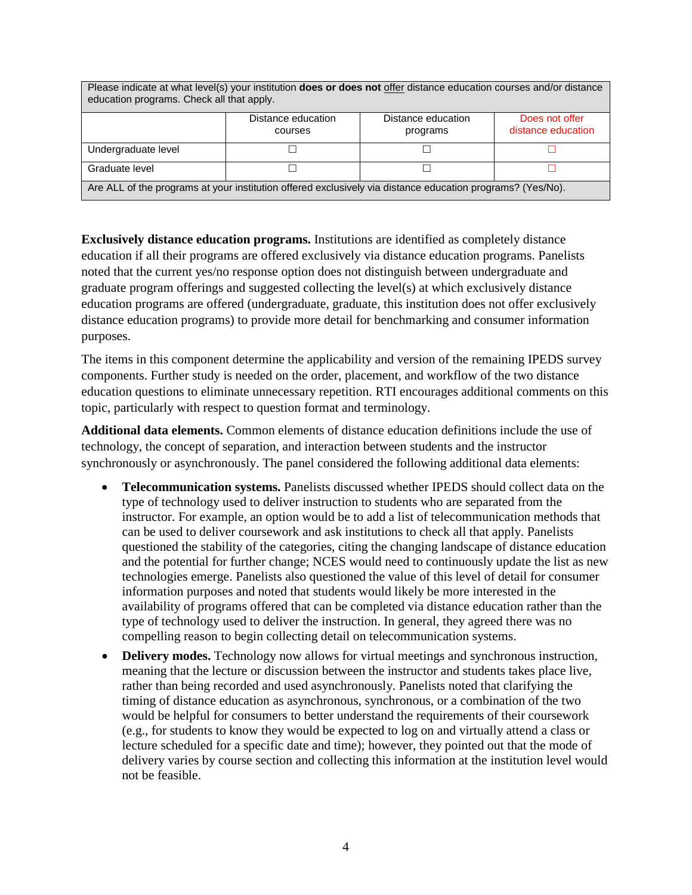| Please indicate at what level(s) your institution <b>does or does not</b> offer distance education courses and/or distance<br>education programs. Check all that apply. |                               |                                |                                      |
|-------------------------------------------------------------------------------------------------------------------------------------------------------------------------|-------------------------------|--------------------------------|--------------------------------------|
|                                                                                                                                                                         | Distance education<br>courses | Distance education<br>programs | Does not offer<br>distance education |
| Undergraduate level                                                                                                                                                     |                               |                                |                                      |
| Graduate level                                                                                                                                                          |                               |                                |                                      |
| Are ALL of the programs at your institution offered exclusively via distance education programs? (Yes/No).                                                              |                               |                                |                                      |

**Exclusively distance education programs.** Institutions are identified as completely distance education if all their programs are offered exclusively via distance education programs. Panelists noted that the current yes/no response option does not distinguish between undergraduate and graduate program offerings and suggested collecting the level(s) at which exclusively distance education programs are offered (undergraduate, graduate, this institution does not offer exclusively distance education programs) to provide more detail for benchmarking and consumer information purposes.

The items in this component determine the applicability and version of the remaining IPEDS survey components. Further study is needed on the order, placement, and workflow of the two distance education questions to eliminate unnecessary repetition. RTI encourages additional comments on this topic, particularly with respect to question format and terminology.

**Additional data elements.** Common elements of distance education definitions include the use of technology, the concept of separation, and interaction between students and the instructor synchronously or asynchronously. The panel considered the following additional data elements:

- **Telecommunication systems.** Panelists discussed whether IPEDS should collect data on the type of technology used to deliver instruction to students who are separated from the instructor. For example, an option would be to add a list of telecommunication methods that can be used to deliver coursework and ask institutions to check all that apply. Panelists questioned the stability of the categories, citing the changing landscape of distance education and the potential for further change; NCES would need to continuously update the list as new technologies emerge. Panelists also questioned the value of this level of detail for consumer information purposes and noted that students would likely be more interested in the availability of programs offered that can be completed via distance education rather than the type of technology used to deliver the instruction. In general, they agreed there was no compelling reason to begin collecting detail on telecommunication systems.
- **Delivery modes.** Technology now allows for virtual meetings and synchronous instruction, meaning that the lecture or discussion between the instructor and students takes place live, rather than being recorded and used asynchronously. Panelists noted that clarifying the timing of distance education as asynchronous, synchronous, or a combination of the two would be helpful for consumers to better understand the requirements of their coursework (e.g., for students to know they would be expected to log on and virtually attend a class or lecture scheduled for a specific date and time); however, they pointed out that the mode of delivery varies by course section and collecting this information at the institution level would not be feasible.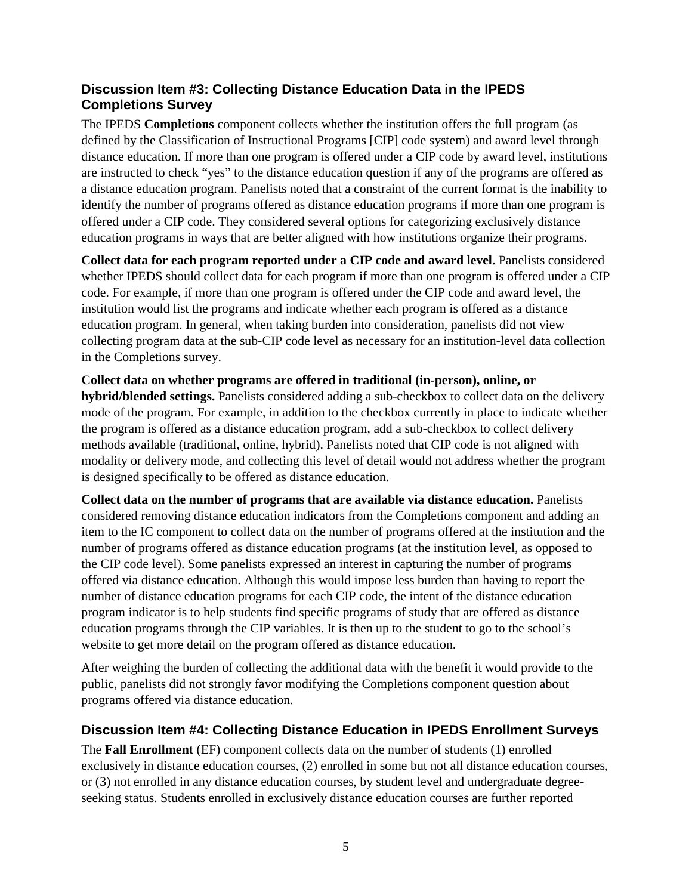## **Discussion Item #3: Collecting Distance Education Data in the IPEDS Completions Survey**

The IPEDS **Completions** component collects whether the institution offers the full program (as defined by the Classification of Instructional Programs [CIP] code system) and award level through distance education. If more than one program is offered under a CIP code by award level, institutions are instructed to check "yes" to the distance education question if any of the programs are offered as a distance education program. Panelists noted that a constraint of the current format is the inability to identify the number of programs offered as distance education programs if more than one program is offered under a CIP code. They considered several options for categorizing exclusively distance education programs in ways that are better aligned with how institutions organize their programs.

**Collect data for each program reported under a CIP code and award level.** Panelists considered whether IPEDS should collect data for each program if more than one program is offered under a CIP code. For example, if more than one program is offered under the CIP code and award level, the institution would list the programs and indicate whether each program is offered as a distance education program. In general, when taking burden into consideration, panelists did not view collecting program data at the sub-CIP code level as necessary for an institution-level data collection in the Completions survey.

**Collect data on whether programs are offered in traditional (in-person), online, or hybrid/blended settings.** Panelists considered adding a sub-checkbox to collect data on the delivery mode of the program. For example, in addition to the checkbox currently in place to indicate whether the program is offered as a distance education program, add a sub-checkbox to collect delivery methods available (traditional, online, hybrid). Panelists noted that CIP code is not aligned with modality or delivery mode, and collecting this level of detail would not address whether the program is designed specifically to be offered as distance education.

**Collect data on the number of programs that are available via distance education.** Panelists considered removing distance education indicators from the Completions component and adding an item to the IC component to collect data on the number of programs offered at the institution and the number of programs offered as distance education programs (at the institution level, as opposed to the CIP code level). Some panelists expressed an interest in capturing the number of programs offered via distance education. Although this would impose less burden than having to report the number of distance education programs for each CIP code, the intent of the distance education program indicator is to help students find specific programs of study that are offered as distance education programs through the CIP variables. It is then up to the student to go to the school's website to get more detail on the program offered as distance education.

After weighing the burden of collecting the additional data with the benefit it would provide to the public, panelists did not strongly favor modifying the Completions component question about programs offered via distance education.

## **Discussion Item #4: Collecting Distance Education in IPEDS Enrollment Surveys**

The **Fall Enrollment** (EF) component collects data on the number of students (1) enrolled exclusively in distance education courses, (2) enrolled in some but not all distance education courses, or (3) not enrolled in any distance education courses, by student level and undergraduate degreeseeking status. Students enrolled in exclusively distance education courses are further reported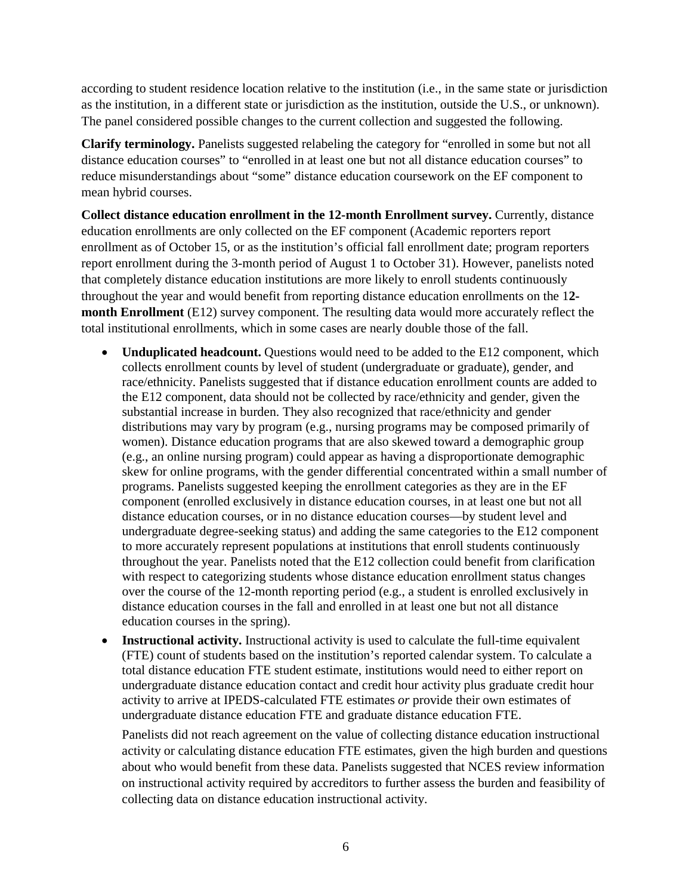according to student residence location relative to the institution (i.e., in the same state or jurisdiction as the institution, in a different state or jurisdiction as the institution, outside the U.S., or unknown). The panel considered possible changes to the current collection and suggested the following.

**Clarify terminology.** Panelists suggested relabeling the category for "enrolled in some but not all distance education courses" to "enrolled in at least one but not all distance education courses" to reduce misunderstandings about "some" distance education coursework on the EF component to mean hybrid courses.

**Collect distance education enrollment in the 12-month Enrollment survey.** Currently, distance education enrollments are only collected on the EF component (Academic reporters report enrollment as of October 15, or as the institution's official fall enrollment date; program reporters report enrollment during the 3-month period of August 1 to October 31). However, panelists noted that completely distance education institutions are more likely to enroll students continuously throughout the year and would benefit from reporting distance education enrollments on the 1**2 month Enrollment** (E12) survey component. The resulting data would more accurately reflect the total institutional enrollments, which in some cases are nearly double those of the fall.

- **Unduplicated headcount.** Questions would need to be added to the E12 component, which collects enrollment counts by level of student (undergraduate or graduate), gender, and race/ethnicity. Panelists suggested that if distance education enrollment counts are added to the E12 component, data should not be collected by race/ethnicity and gender, given the substantial increase in burden. They also recognized that race/ethnicity and gender distributions may vary by program (e.g., nursing programs may be composed primarily of women). Distance education programs that are also skewed toward a demographic group (e.g., an online nursing program) could appear as having a disproportionate demographic skew for online programs, with the gender differential concentrated within a small number of programs. Panelists suggested keeping the enrollment categories as they are in the EF component (enrolled exclusively in distance education courses, in at least one but not all distance education courses, or in no distance education courses—by student level and undergraduate degree-seeking status) and adding the same categories to the E12 component to more accurately represent populations at institutions that enroll students continuously throughout the year. Panelists noted that the E12 collection could benefit from clarification with respect to categorizing students whose distance education enrollment status changes over the course of the 12-month reporting period (e.g., a student is enrolled exclusively in distance education courses in the fall and enrolled in at least one but not all distance education courses in the spring).
- **Instructional activity.** Instructional activity is used to calculate the full-time equivalent (FTE) count of students based on the institution's reported calendar system. To calculate a total distance education FTE student estimate, institutions would need to either report on undergraduate distance education contact and credit hour activity plus graduate credit hour activity to arrive at IPEDS-calculated FTE estimates *or* provide their own estimates of undergraduate distance education FTE and graduate distance education FTE.

Panelists did not reach agreement on the value of collecting distance education instructional activity or calculating distance education FTE estimates, given the high burden and questions about who would benefit from these data. Panelists suggested that NCES review information on instructional activity required by accreditors to further assess the burden and feasibility of collecting data on distance education instructional activity.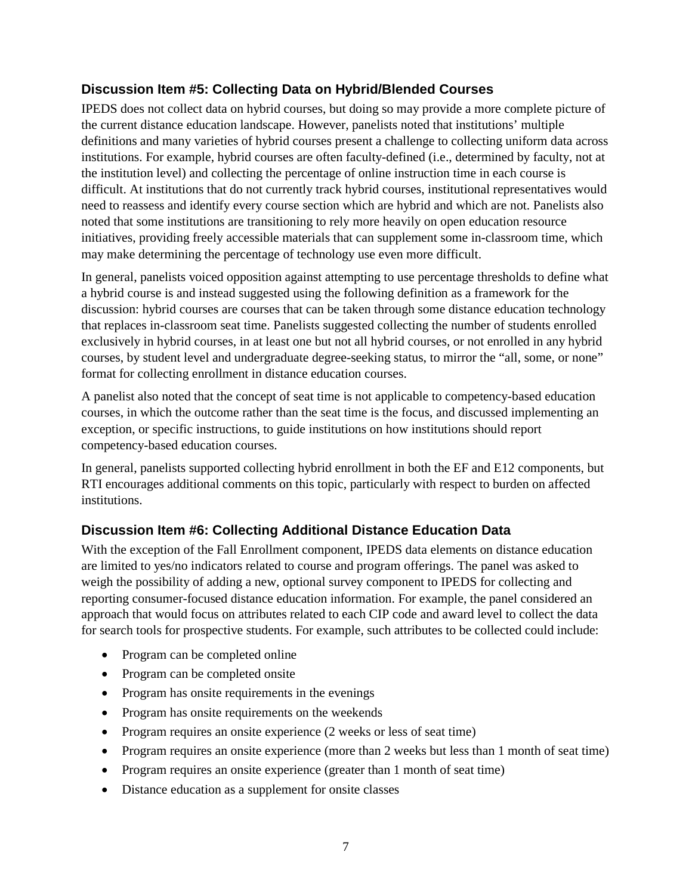## **Discussion Item #5: Collecting Data on Hybrid/Blended Courses**

IPEDS does not collect data on hybrid courses, but doing so may provide a more complete picture of the current distance education landscape. However, panelists noted that institutions' multiple definitions and many varieties of hybrid courses present a challenge to collecting uniform data across institutions. For example, hybrid courses are often faculty-defined (i.e., determined by faculty, not at the institution level) and collecting the percentage of online instruction time in each course is difficult. At institutions that do not currently track hybrid courses, institutional representatives would need to reassess and identify every course section which are hybrid and which are not. Panelists also noted that some institutions are transitioning to rely more heavily on open education resource initiatives, providing freely accessible materials that can supplement some in-classroom time, which may make determining the percentage of technology use even more difficult.

In general, panelists voiced opposition against attempting to use percentage thresholds to define what a hybrid course is and instead suggested using the following definition as a framework for the discussion: hybrid courses are courses that can be taken through some distance education technology that replaces in-classroom seat time. Panelists suggested collecting the number of students enrolled exclusively in hybrid courses, in at least one but not all hybrid courses, or not enrolled in any hybrid courses, by student level and undergraduate degree-seeking status, to mirror the "all, some, or none" format for collecting enrollment in distance education courses.

A panelist also noted that the concept of seat time is not applicable to competency-based education courses, in which the outcome rather than the seat time is the focus, and discussed implementing an exception, or specific instructions, to guide institutions on how institutions should report competency-based education courses.

In general, panelists supported collecting hybrid enrollment in both the EF and E12 components, but RTI encourages additional comments on this topic, particularly with respect to burden on affected institutions.

## **Discussion Item #6: Collecting Additional Distance Education Data**

With the exception of the Fall Enrollment component, IPEDS data elements on distance education are limited to yes/no indicators related to course and program offerings. The panel was asked to weigh the possibility of adding a new, optional survey component to IPEDS for collecting and reporting consumer-focused distance education information. For example, the panel considered an approach that would focus on attributes related to each CIP code and award level to collect the data for search tools for prospective students. For example, such attributes to be collected could include:

- Program can be completed online
- Program can be completed onsite
- Program has onsite requirements in the evenings
- Program has onsite requirements on the weekends
- Program requires an onsite experience (2 weeks or less of seat time)
- Program requires an onsite experience (more than 2 weeks but less than 1 month of seat time)
- Program requires an onsite experience (greater than 1 month of seat time)
- Distance education as a supplement for onsite classes